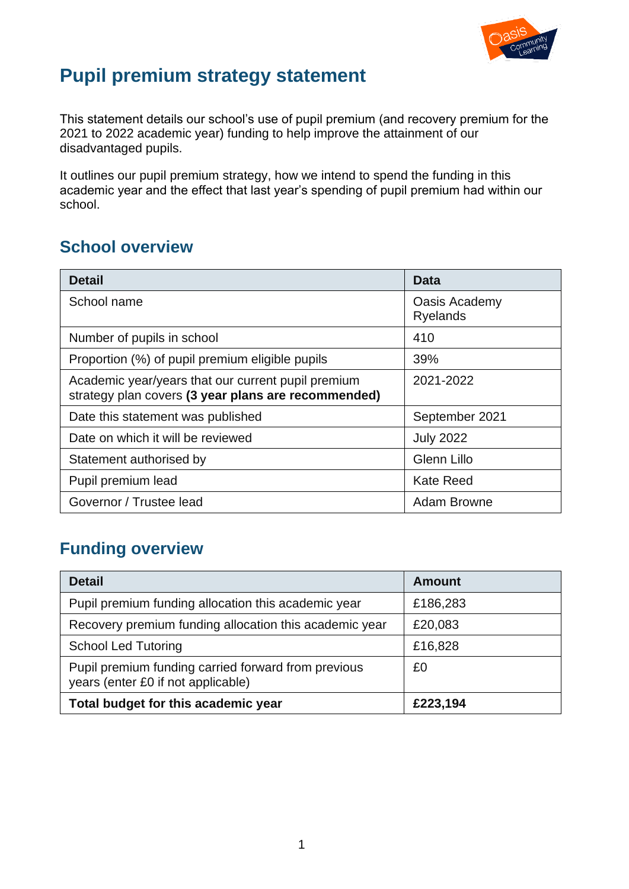

# **Pupil premium strategy statement**

This statement details our school's use of pupil premium (and recovery premium for the 2021 to 2022 academic year) funding to help improve the attainment of our disadvantaged pupils.

It outlines our pupil premium strategy, how we intend to spend the funding in this academic year and the effect that last year's spending of pupil premium had within our school.

### **School overview**

| <b>Detail</b>                                                                                             | Data                             |
|-----------------------------------------------------------------------------------------------------------|----------------------------------|
| School name                                                                                               | Oasis Academy<br><b>Ryelands</b> |
| Number of pupils in school                                                                                | 410                              |
| Proportion (%) of pupil premium eligible pupils                                                           | 39%                              |
| Academic year/years that our current pupil premium<br>strategy plan covers (3 year plans are recommended) | 2021-2022                        |
| Date this statement was published                                                                         | September 2021                   |
| Date on which it will be reviewed                                                                         | <b>July 2022</b>                 |
| Statement authorised by                                                                                   | <b>Glenn Lillo</b>               |
| Pupil premium lead                                                                                        | <b>Kate Reed</b>                 |
| Governor / Trustee lead                                                                                   | <b>Adam Browne</b>               |

### **Funding overview**

| <b>Detail</b>                                                                             | Amount   |
|-------------------------------------------------------------------------------------------|----------|
| Pupil premium funding allocation this academic year                                       | £186,283 |
| Recovery premium funding allocation this academic year                                    | £20,083  |
| <b>School Led Tutoring</b>                                                                | £16,828  |
| Pupil premium funding carried forward from previous<br>years (enter £0 if not applicable) | £0       |
| Total budget for this academic year                                                       | £223,194 |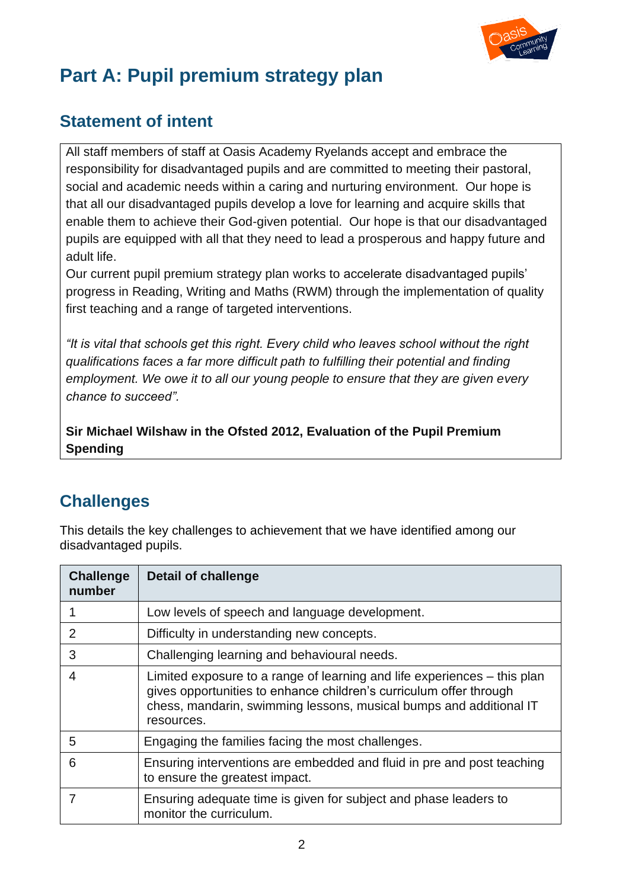

# **Part A: Pupil premium strategy plan**

### **Statement of intent**

All staff members of staff at Oasis Academy Ryelands accept and embrace the responsibility for disadvantaged pupils and are committed to meeting their pastoral, social and academic needs within a caring and nurturing environment. Our hope is that all our disadvantaged pupils develop a love for learning and acquire skills that enable them to achieve their God-given potential. Our hope is that our disadvantaged pupils are equipped with all that they need to lead a prosperous and happy future and adult life.

Our current pupil premium strategy plan works to accelerate disadvantaged pupils' progress in Reading, Writing and Maths (RWM) through the implementation of quality first teaching and a range of targeted interventions.

*"It is vital that schools get this right. Every child who leaves school without the right qualifications faces a far more difficult path to fulfilling their potential and finding employment. We owe it to all our young people to ensure that they are given every chance to succeed".* 

**Sir Michael Wilshaw in the Ofsted 2012, Evaluation of the Pupil Premium Spending**

### **Challenges**

This details the key challenges to achievement that we have identified among our disadvantaged pupils.

| <b>Challenge</b><br>number | <b>Detail of challenge</b>                                                                                                                                                                                                         |
|----------------------------|------------------------------------------------------------------------------------------------------------------------------------------------------------------------------------------------------------------------------------|
|                            | Low levels of speech and language development.                                                                                                                                                                                     |
| 2                          | Difficulty in understanding new concepts.                                                                                                                                                                                          |
| 3                          | Challenging learning and behavioural needs.                                                                                                                                                                                        |
| 4                          | Limited exposure to a range of learning and life experiences – this plan<br>gives opportunities to enhance children's curriculum offer through<br>chess, mandarin, swimming lessons, musical bumps and additional IT<br>resources. |
| 5                          | Engaging the families facing the most challenges.                                                                                                                                                                                  |
| 6                          | Ensuring interventions are embedded and fluid in pre and post teaching<br>to ensure the greatest impact.                                                                                                                           |
|                            | Ensuring adequate time is given for subject and phase leaders to<br>monitor the curriculum.                                                                                                                                        |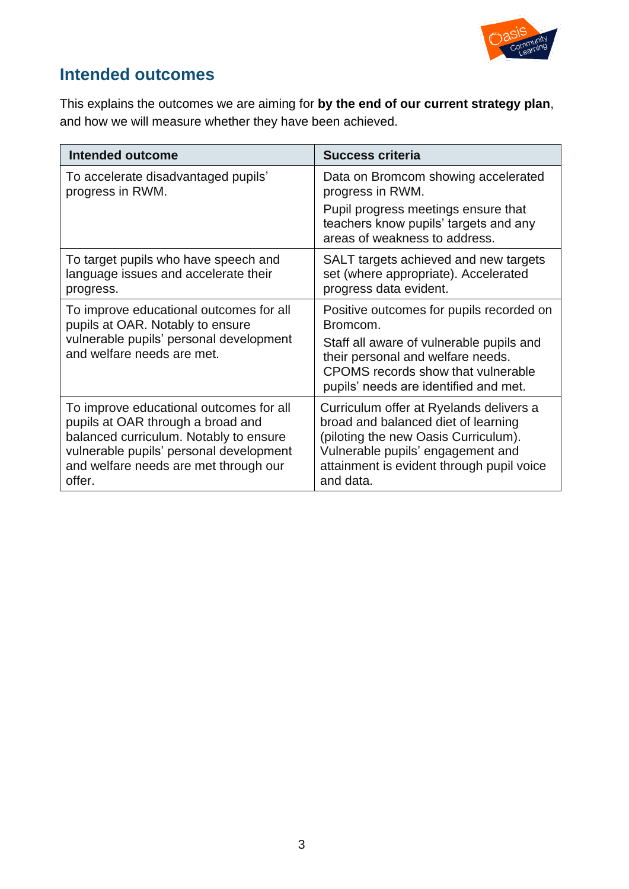

### **Intended outcomes**

This explains the outcomes we are aiming for **by the end of our current strategy plan**, and how we will measure whether they have been achieved.

| <b>Intended outcome</b>                                               | <b>Success criteria</b>                                                                                                                                      |
|-----------------------------------------------------------------------|--------------------------------------------------------------------------------------------------------------------------------------------------------------|
| To accelerate disadvantaged pupils'                                   | Data on Bromcom showing accelerated                                                                                                                          |
| progress in RWM.                                                      | progress in RWM.                                                                                                                                             |
|                                                                       | Pupil progress meetings ensure that<br>teachers know pupils' targets and any<br>areas of weakness to address.                                                |
| To target pupils who have speech and                                  | SALT targets achieved and new targets                                                                                                                        |
| language issues and accelerate their                                  | set (where appropriate). Accelerated                                                                                                                         |
| progress.                                                             | progress data evident.                                                                                                                                       |
| To improve educational outcomes for all                               | Positive outcomes for pupils recorded on                                                                                                                     |
| pupils at OAR. Notably to ensure                                      | Bromcom.                                                                                                                                                     |
| vulnerable pupils' personal development<br>and welfare needs are met. | Staff all aware of vulnerable pupils and<br>their personal and welfare needs.<br>CPOMS records show that vulnerable<br>pupils' needs are identified and met. |
| To improve educational outcomes for all                               | Curriculum offer at Ryelands delivers a                                                                                                                      |
| pupils at OAR through a broad and                                     | broad and balanced diet of learning                                                                                                                          |
| balanced curriculum. Notably to ensure                                | (piloting the new Oasis Curriculum).                                                                                                                         |
| vulnerable pupils' personal development                               | Vulnerable pupils' engagement and                                                                                                                            |
| and welfare needs are met through our                                 | attainment is evident through pupil voice                                                                                                                    |
| offer.                                                                | and data.                                                                                                                                                    |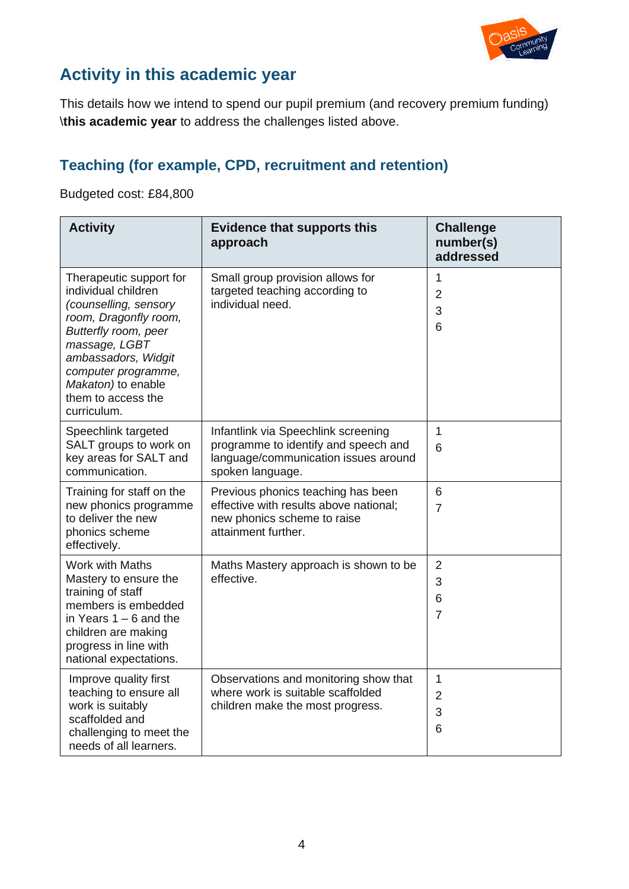

#### **Activity in this academic year**

This details how we intend to spend our pupil premium (and recovery premium funding) \**this academic year** to address the challenges listed above.

#### **Teaching (for example, CPD, recruitment and retention)**

#### Budgeted cost: £84,800

| <b>Activity</b>                                                                                                                                                                                                                                    | <b>Evidence that supports this</b><br>approach                                                                                          | <b>Challenge</b><br>number(s)<br>addressed  |
|----------------------------------------------------------------------------------------------------------------------------------------------------------------------------------------------------------------------------------------------------|-----------------------------------------------------------------------------------------------------------------------------------------|---------------------------------------------|
| Therapeutic support for<br>individual children<br>(counselling, sensory<br>room, Dragonfly room,<br>Butterfly room, peer<br>massage, LGBT<br>ambassadors, Widgit<br>computer programme,<br>Makaton) to enable<br>them to access the<br>curriculum. | Small group provision allows for<br>targeted teaching according to<br>individual need.                                                  | 1<br>$\overline{2}$<br>3<br>$6\phantom{1}6$ |
| Speechlink targeted<br>SALT groups to work on<br>key areas for SALT and<br>communication.                                                                                                                                                          | Infantlink via Speechlink screening<br>programme to identify and speech and<br>language/communication issues around<br>spoken language. | $\mathbf{1}$<br>6                           |
| Training for staff on the<br>new phonics programme<br>to deliver the new<br>phonics scheme<br>effectively.                                                                                                                                         | Previous phonics teaching has been<br>effective with results above national;<br>new phonics scheme to raise<br>attainment further.      | 6<br>$\overline{7}$                         |
| Work with Maths<br>Mastery to ensure the<br>training of staff<br>members is embedded<br>in Years $1 - 6$ and the<br>children are making<br>progress in line with<br>national expectations.                                                         | Maths Mastery approach is shown to be<br>effective.                                                                                     | $\overline{2}$<br>3<br>6<br>$\overline{7}$  |
| Improve quality first<br>teaching to ensure all<br>work is suitably<br>scaffolded and<br>challenging to meet the<br>needs of all learners.                                                                                                         | Observations and monitoring show that<br>where work is suitable scaffolded<br>children make the most progress.                          | $\mathbf{1}$<br>$\overline{2}$<br>3<br>6    |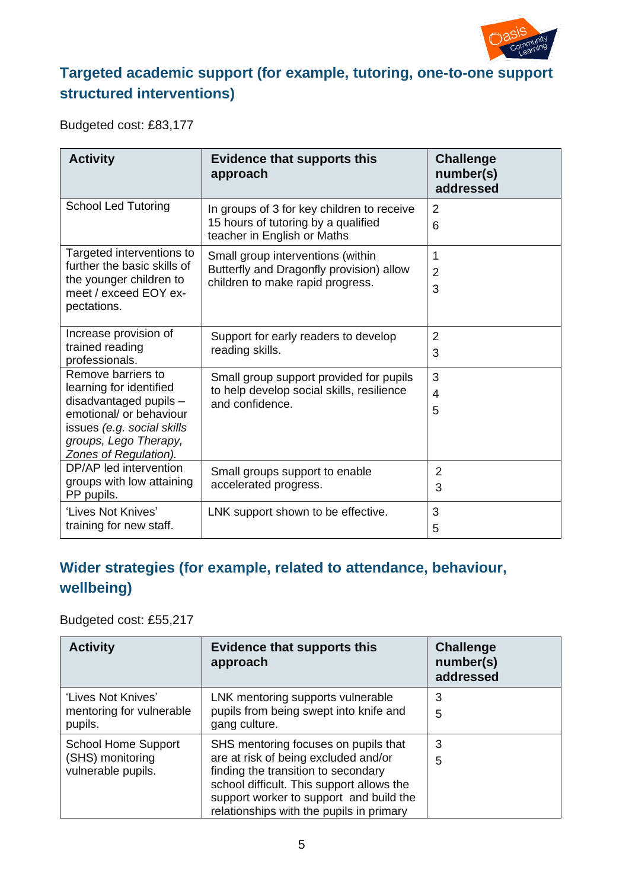

#### **Targeted academic support (for example, tutoring, one-to-one support structured interventions)**

Budgeted cost: £83,177

| <b>Activity</b>                                                                                                                                                                    | <b>Evidence that supports this</b><br>approach                                                                    | <b>Challenge</b><br>number(s)<br>addressed |
|------------------------------------------------------------------------------------------------------------------------------------------------------------------------------------|-------------------------------------------------------------------------------------------------------------------|--------------------------------------------|
| <b>School Led Tutoring</b>                                                                                                                                                         | In groups of 3 for key children to receive<br>15 hours of tutoring by a qualified<br>teacher in English or Maths  | 2<br>6                                     |
| Targeted interventions to<br>further the basic skills of<br>the younger children to<br>meet / exceed EOY ex-<br>pectations.                                                        | Small group interventions (within<br>Butterfly and Dragonfly provision) allow<br>children to make rapid progress. | 1<br>$\overline{2}$<br>3                   |
| Increase provision of<br>trained reading<br>professionals.                                                                                                                         | Support for early readers to develop<br>reading skills.                                                           | $\overline{2}$<br>3                        |
| Remove barriers to<br>learning for identified<br>disadvantaged pupils -<br>emotional/ or behaviour<br>issues (e.g. social skills<br>groups, Lego Therapy,<br>Zones of Regulation). | Small group support provided for pupils<br>to help develop social skills, resilience<br>and confidence.           | 3<br>$\overline{4}$<br>5                   |
| DP/AP led intervention<br>groups with low attaining<br>PP pupils.                                                                                                                  | Small groups support to enable<br>accelerated progress.                                                           | $\overline{2}$<br>3                        |
| 'Lives Not Knives'<br>training for new staff.                                                                                                                                      | LNK support shown to be effective.                                                                                | 3<br>5                                     |

#### **Wider strategies (for example, related to attendance, behaviour, wellbeing)**

Budgeted cost: £55,217

| <b>Activity</b>                        | <b>Evidence that supports this</b><br>approach                                       | <b>Challenge</b><br>number(s)<br>addressed |
|----------------------------------------|--------------------------------------------------------------------------------------|--------------------------------------------|
| 'Lives Not Knives'                     | LNK mentoring supports vulnerable                                                    | 3                                          |
| mentoring for vulnerable<br>pupils.    | pupils from being swept into knife and<br>gang culture.                              | 5                                          |
| <b>School Home Support</b>             | SHS mentoring focuses on pupils that                                                 | 3                                          |
| (SHS) monitoring<br>vulnerable pupils. | are at risk of being excluded and/or<br>finding the transition to secondary          | 5                                          |
|                                        | school difficult. This support allows the<br>support worker to support and build the |                                            |
|                                        | relationships with the pupils in primary                                             |                                            |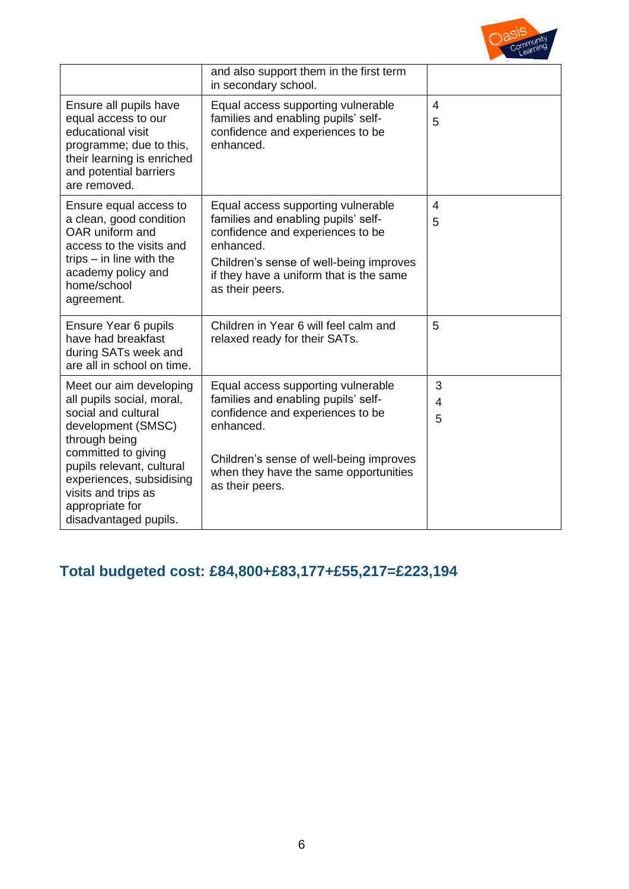

|                                                                                                                                                                                                                           | and also support them in the first term<br>in secondary school.                                                                                                                                                                     |             |
|---------------------------------------------------------------------------------------------------------------------------------------------------------------------------------------------------------------------------|-------------------------------------------------------------------------------------------------------------------------------------------------------------------------------------------------------------------------------------|-------------|
| Ensure all pupils have<br>equal access to our<br>educational visit<br>programme; due to this,<br>their learning is enriched<br>and potential barriers<br>are removed.                                                     | Equal access supporting vulnerable<br>families and enabling pupils' self-<br>confidence and experiences to be<br>enhanced.                                                                                                          | 4<br>5      |
| Ensure equal access to<br>a clean, good condition<br>OAR uniform and<br>access to the visits and<br>trips $-$ in line with the<br>academy policy and<br>home/school<br>agreement.                                         | Equal access supporting vulnerable<br>families and enabling pupils' self-<br>confidence and experiences to be<br>enhanced.<br>Children's sense of well-being improves<br>if they have a uniform that is the same<br>as their peers. | 4<br>5      |
| Ensure Year 6 pupils<br>have had breakfast<br>during SATs week and<br>are all in school on time.                                                                                                                          | Children in Year 6 will feel calm and<br>relaxed ready for their SATs.                                                                                                                                                              | 5           |
| Meet our aim developing<br>all pupils social, moral,<br>social and cultural<br>development (SMSC)<br>through being<br>committed to giving<br>pupils relevant, cultural<br>experiences, subsidising<br>visits and trips as | Equal access supporting vulnerable<br>families and enabling pupils' self-<br>confidence and experiences to be<br>enhanced.<br>Children's sense of well-being improves<br>when they have the same opportunities<br>as their peers.   | 3<br>4<br>5 |
| appropriate for<br>disadvantaged pupils.                                                                                                                                                                                  |                                                                                                                                                                                                                                     |             |

## **Total budgeted cost: £84,800+£83,177+£55,217=£223,194**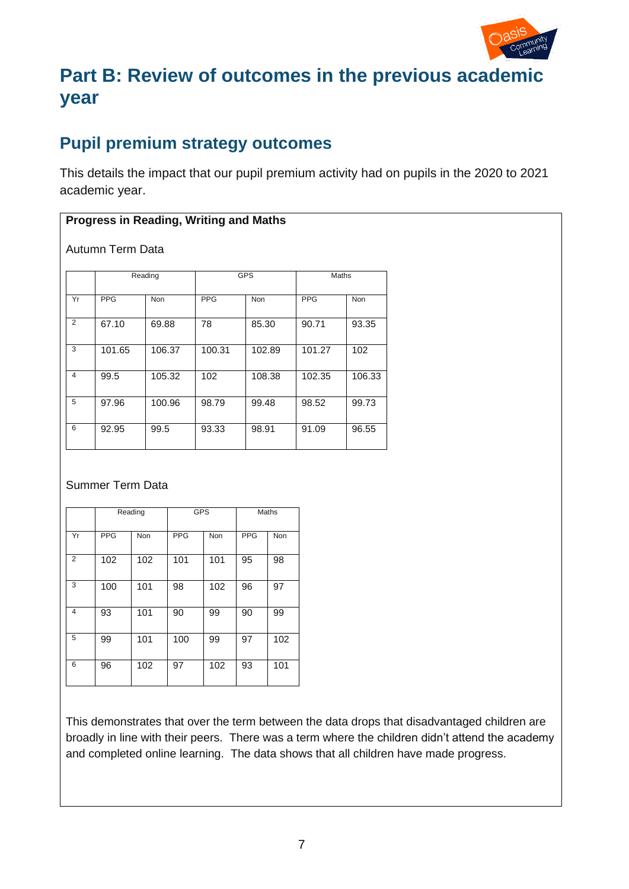

# **Part B: Review of outcomes in the previous academic year**

### **Pupil premium strategy outcomes**

This details the impact that our pupil premium activity had on pupils in the 2020 to 2021 academic year.

#### **Progress in Reading, Writing and Maths**

Autumn Term Data

|    | Reading    |            | <b>GPS</b> |        | Maths      |            |
|----|------------|------------|------------|--------|------------|------------|
| Yr | <b>PPG</b> | <b>Non</b> | <b>PPG</b> | Non    | <b>PPG</b> | <b>Non</b> |
| 2  | 67.10      | 69.88      | 78         | 85.30  | 90.71      | 93.35      |
| 3  | 101.65     | 106.37     | 100.31     | 102.89 | 101.27     | 102        |
| 4  | 99.5       | 105.32     | 102        | 108.38 | 102.35     | 106.33     |
| 5  | 97.96      | 100.96     | 98.79      | 99.48  | 98.52      | 99.73      |
| 6  | 92.95      | 99.5       | 93.33      | 98.91  | 91.09      | 96.55      |

#### Summer Term Data

|                |            | Reading    | <b>GPS</b> |            |            | Maths |
|----------------|------------|------------|------------|------------|------------|-------|
| Yr             | <b>PPG</b> | <b>Non</b> | <b>PPG</b> | <b>Non</b> | <b>PPG</b> | Non   |
| $\overline{2}$ | 102        | 102        | 101        | 101        | 95         | 98    |
| 3              | 100        | 101        | 98         | 102        | 96         | 97    |
| 4              | 93         | 101        | 90         | 99         | 90         | 99    |
| 5              | 99         | 101        | 100        | 99         | 97         | 102   |
| 6              | 96         | 102        | 97         | 102        | 93         | 101   |

This demonstrates that over the term between the data drops that disadvantaged children are broadly in line with their peers. There was a term where the children didn't attend the academy and completed online learning. The data shows that all children have made progress.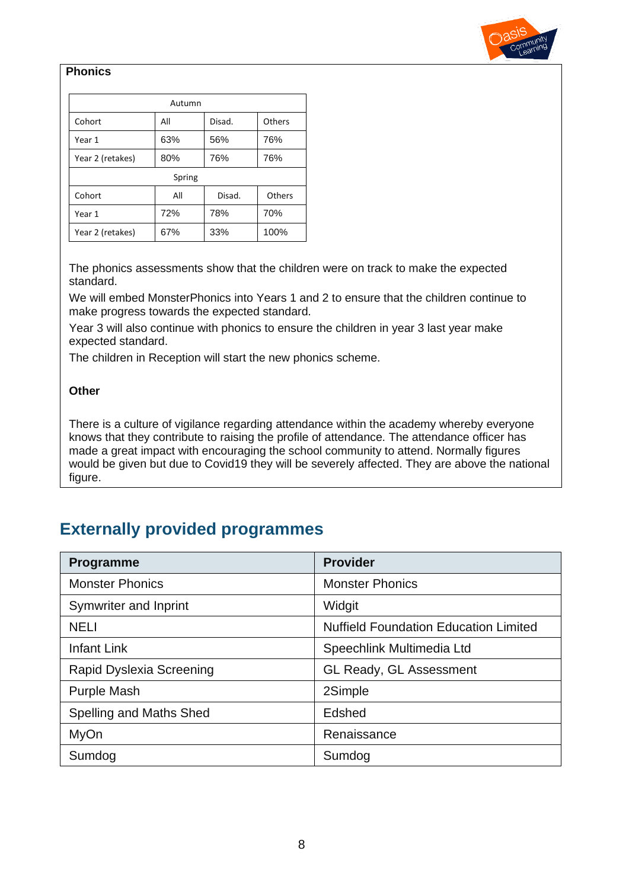

#### **Phonics**

| Autumn           |     |        |        |  |
|------------------|-----|--------|--------|--|
| Cohort           | All | Disad. | Others |  |
| Year 1           | 63% | 56%    | 76%    |  |
| Year 2 (retakes) | 80% | 76%    | 76%    |  |
| Spring           |     |        |        |  |
| Cohort           | All | Disad. | Others |  |
| Year 1           | 72% | 78%    | 70%    |  |
| Year 2 (retakes) | 67% | 33%    | 100%   |  |

The phonics assessments show that the children were on track to make the expected standard.

We will embed MonsterPhonics into Years 1 and 2 to ensure that the children continue to make progress towards the expected standard.

Year 3 will also continue with phonics to ensure the children in year 3 last year make expected standard.

The children in Reception will start the new phonics scheme.

#### **Other**

There is a culture of vigilance regarding attendance within the academy whereby everyone knows that they contribute to raising the profile of attendance. The attendance officer has made a great impact with encouraging the school community to attend. Normally figures would be given but due to Covid19 they will be severely affected. They are above the national figure.

#### **Externally provided programmes**

| Programme                | <b>Provider</b>                              |
|--------------------------|----------------------------------------------|
| <b>Monster Phonics</b>   | <b>Monster Phonics</b>                       |
| Symwriter and Inprint    | Widgit                                       |
| <b>NELI</b>              | <b>Nuffield Foundation Education Limited</b> |
| <b>Infant Link</b>       | Speechlink Multimedia Ltd                    |
| Rapid Dyslexia Screening | GL Ready, GL Assessment                      |
| <b>Purple Mash</b>       | 2Simple                                      |
| Spelling and Maths Shed  | Edshed                                       |
| <b>MyOn</b>              | Renaissance                                  |
| Sumdog                   | Sumdog                                       |